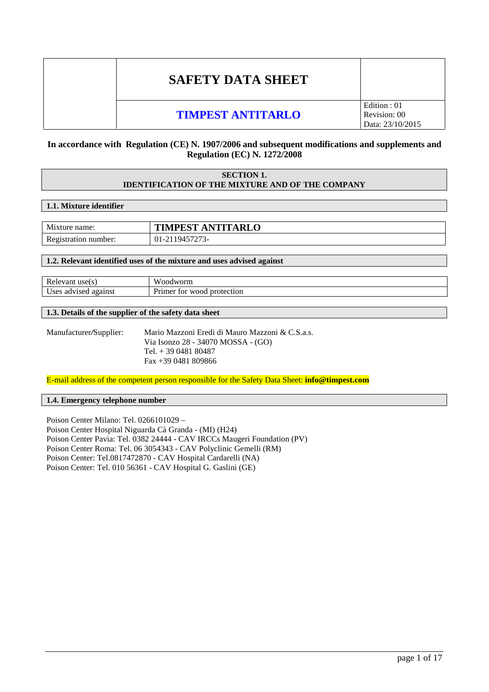# **SAFETY DATA SHEET**

# **TIMPEST ANTITARLO**

# Edition : 01 Revision: 00 Data: 23/10/2015

# **In accordance with Regulation (CE) N. 1907/2006 and subsequent modifications and supplements and Regulation (EC) N. 1272/2008**

# **SECTION 1. IDENTIFICATION OF THE MIXTURE AND OF THE COMPANY**

# **1.1. Mixture identifier**

| Mixture name:        | <b>TIMPEST ANTITARLO</b> |
|----------------------|--------------------------|
| Registration number: | 01-2119457273-           |

# **1.2. Relevant identified uses of the mixture and uses advised against**

| Relevant use $(s)$   | Woodworm                   |
|----------------------|----------------------------|
| Uses advised against | Primer for wood protection |

# **1.3. Details of the supplier of the safety data sheet**

Manufacturer*/*Supplier: Mario Mazzoni Eredi di Mauro Mazzoni & C.S.a.s. Via Isonzo 28 - 34070 MOSSA - (GO) Tel. + 39 0481 80487 Fax +39 0481 809866

E-mail address of the competent person responsible for the Safety Data Sheet: **info@timpest.com**

# **1.4. Emergency telephone number**

Poison Center Milano: Tel. 0266101029 – Poison Center Hospital Niguarda Cà Granda - (MI) (H24) Poison Center Pavia: Tel. 0382 24444 - CAV IRCCs Maugeri Foundation (PV) Poison Center Roma: Tel. 06 3054343 - CAV Polyclinic Gemelli (RM) Poison Center: Tel.0817472870 - CAV Hospital Cardarelli (NA) Poison Center: Tel. 010 56361 - CAV Hospital G. Gaslini (GE)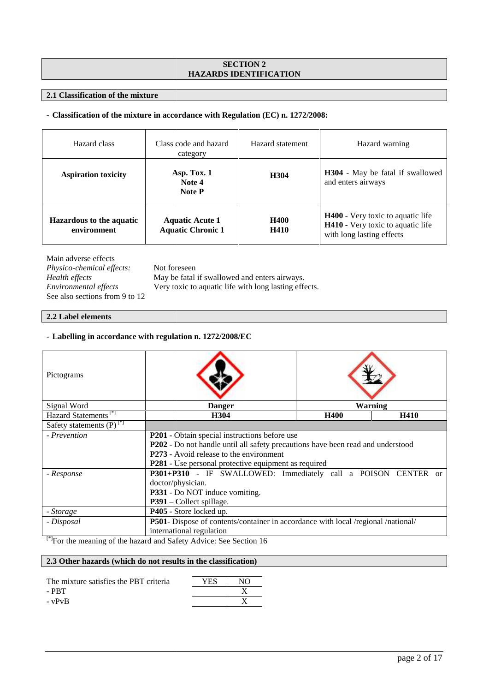# **SECTION 2 HAZARDS IDENTIFICATION**

# **2.1 Classification of the mixture**

# **EXECUTE ATION**<br> **2.1 Classification of the mixture<br>
– Classification of the mixture in accordance with Regulation (EC) n. 1272/2008:**

| Hazard class                                   | Class code and hazard<br>category                  | Hazard statement           | Hazard warning                                                                                             |
|------------------------------------------------|----------------------------------------------------|----------------------------|------------------------------------------------------------------------------------------------------------|
| <b>Aspiration toxicity</b>                     | Asp. Tox. 1<br>Note 4<br><b>Note P</b>             | H304                       | <b>H304</b> - May be fatal if swallowed<br>and enters airways                                              |
| <b>Hazardous to the aquatic</b><br>environment | <b>Aquatic Acute 1</b><br><b>Aquatic Chronic 1</b> | <b>H400</b><br><b>H410</b> | <b>H400</b> - Very toxic to aquatic life<br>H410 - Very toxic to aquatic life<br>with long lasting effects |

Main adverse effects

*Physico-chemical effects:* Not foreseen See also sections from 9 to 12 Health effects

*Health effects* May be fatal if swallowed and enters airways.<br> *Environmental effects* Very toxic to aquatic life with long lasting effects *Environmental effects* Very toxic to aquatic life with long lasting effects.

# **2.2 Label elements**

# - Labelling in accordance with regulation n. 1272/2008/EC

| Health effects<br>Environmental effects<br>See also sections from 9 to 12      | May be fatal if swallowed and enters airways.<br>Very toxic to aquatic life with long lasting effects.                                           |                        |                                                                                 |         |      |
|--------------------------------------------------------------------------------|--------------------------------------------------------------------------------------------------------------------------------------------------|------------------------|---------------------------------------------------------------------------------|---------|------|
| 2.2 Label elements                                                             |                                                                                                                                                  |                        |                                                                                 |         |      |
| - Labelling in accordance with regulation n. 1272/2008/EC                      |                                                                                                                                                  |                        |                                                                                 |         |      |
| Pictograms                                                                     |                                                                                                                                                  |                        |                                                                                 |         |      |
| Signal Word                                                                    |                                                                                                                                                  | <b>Danger</b>          |                                                                                 | Warning |      |
| Hazard Statements <sup>[*]</sup>                                               |                                                                                                                                                  | H304                   |                                                                                 | H400    | H410 |
| Safety statements $(P)^{[*]}$                                                  |                                                                                                                                                  |                        |                                                                                 |         |      |
| - Prevention                                                                   | P201 - Obtain special instructions before use<br>P273 - Avoid release to the environment<br>P281 - Use personal protective equipment as required |                        | P202 - Do not handle until all safety precautions have been read and understood |         |      |
| - Response                                                                     | P301+P310 - IF SWALLOWED: Immediately call a POISON CENTER or<br>doctor/physician.<br>P331 - Do NOT induce vomiting.<br>P391 – Collect spillage. |                        |                                                                                 |         |      |
| - Storage                                                                      | P405 - Store locked up.                                                                                                                          |                        |                                                                                 |         |      |
| - Disposal                                                                     | P501- Dispose of contents/container in accordance with local /regional /national/                                                                |                        |                                                                                 |         |      |
|                                                                                | international regulation                                                                                                                         |                        |                                                                                 |         |      |
| <sup>[*]</sup> For the meaning of the hazard and Safety Advice: See Section 16 |                                                                                                                                                  |                        |                                                                                 |         |      |
| 2.3 Other hazards (which do not results in the classification)                 |                                                                                                                                                  |                        |                                                                                 |         |      |
| The mixture satisfies the PBT criteria<br>$-$ PBT<br>$- vPvB$                  | YES                                                                                                                                              | NO<br>X<br>$\mathbf X$ |                                                                                 |         |      |

#### **2.3 Other hazards (which do not results in the classification) classification)**

| The mixture satisfies the PBT criteria | YES | NΩ |  |
|----------------------------------------|-----|----|--|
| - PRT                                  |     |    |  |
| - vPvB                                 |     |    |  |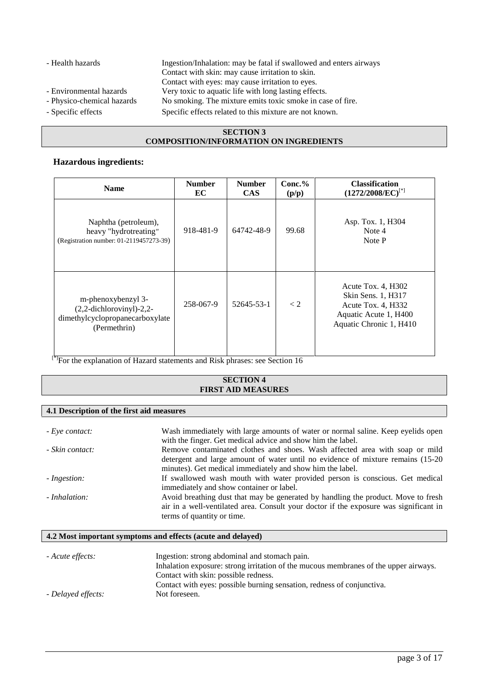- Health hazards Ingestion/Inhalation: may be fatal if swallowed and enters airways Contact with skin: may cause irritation to skin. Contact with eyes: may cause irritation to eyes. - Environmental hazards Very toxic to aquatic life with long lasting effects. - Physico-chemical hazards No smoking. The mixture emits toxic smoke in case of fire. - Specific effects Specific effects related to this mixture are not known.

- 
- 
- 

# **SECTION 3 COMPOSITION/INFORMATION ON INGREDIENTS**

# **Hazardous ingredients:**

| <b>Name</b>                                                                                          | <b>Number</b><br>EC | <b>Number</b><br><b>CAS</b> | $Conc.\%$<br>(p/p) | <b>Classification</b><br>$(1272/2008/EC)^{[*]}$                                                                    |
|------------------------------------------------------------------------------------------------------|---------------------|-----------------------------|--------------------|--------------------------------------------------------------------------------------------------------------------|
| Naphtha (petroleum),<br>heavy "hydrotreating"<br>(Registration number: 01-2119457273-39)             | 918-481-9           | 64742-48-9                  | 99.68              | Asp. Tox. 1, H304<br>Note 4<br>Note P                                                                              |
| m-phenoxybenzyl 3-<br>$(2,2$ -dichlorovinyl)-2,2-<br>dimethylcyclopropanecarboxylate<br>(Permethrin) | 258-067-9           | 52645-53-1                  | $\lt 2$            | Acute Tox. 4, H302<br>Skin Sens. 1, H317<br>Acute Tox. 4, H332<br>Aquatic Acute 1, H400<br>Aquatic Chronic 1, H410 |

<sup>[\*]</sup>For the explanation of Hazard statements and Risk phrases: see Section 16

# **SECTION 4 FIRST AID MEASURES**

# **4.1 Description of the first aid measures**

| - Eye contact:  | Wash immediately with large amounts of water or normal saline. Keep eyelids open<br>with the finger. Get medical advice and show him the label.                                                                              |
|-----------------|------------------------------------------------------------------------------------------------------------------------------------------------------------------------------------------------------------------------------|
| - Skin contact: | Remove contaminated clothes and shoes. Wash affected area with soap or mild<br>detergent and large amount of water until no evidence of mixture remains (15-20)<br>minutes). Get medical immediately and show him the label. |
| - Ingestion:    | If swallowed wash mouth with water provided person is conscious. Get medical<br>immediately and show container or label.                                                                                                     |
| - Inhalation:   | Avoid breathing dust that may be generated by handling the product. Move to fresh<br>air in a well-ventilated area. Consult your doctor if the exposure was significant in<br>terms of quantity or time.                     |

# **4.2 Most important symptoms and effects (acute and delayed)**

| - Acute effects:   | Ingestion: strong abdominal and stomach pain.                                        |
|--------------------|--------------------------------------------------------------------------------------|
|                    | Inhalation exposure: strong irritation of the mucous membranes of the upper airways. |
|                    | Contact with skin: possible redness.                                                 |
|                    | Contact with eyes: possible burning sensation, redness of conjunctiva.               |
| - Delayed effects: | Not foreseen.                                                                        |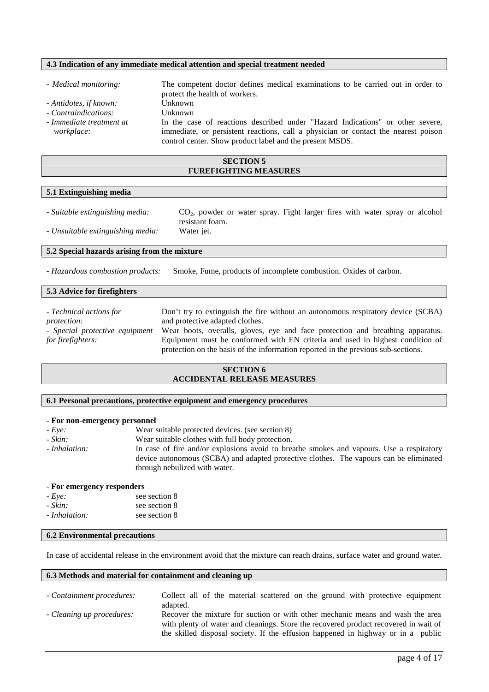## **4.3 Indication of any immediate medical attention and special treatment needed**

- *Medical monitoring:* The competent doctor defines medical examinations to be carried out in order to protect the health of workers. *- Antidotes, if known:* Unknown *- Contraindications:* Unknown *- Immediate treatment at* In the case of reactions described under "Hazard Indications" or other severe,
	- immediate, or persistent reactions, call a physician or contact the nearest poison control center. Show product label and the present MSDS.

# **SECTION 5 FUREFIGHTING MEASURES**

# **5.1 Extinguishing media**

*workplace:*

*- Suitable extinguishing media:* CO2, powder or water spray. Fight larger fires with water spray or alcohol resistant foam. *- Unsuitable extinguishing media:* Water jet.

#### **5.2 Special hazards arising from the mixture**

*- Hazardous combustion products:* Smoke, Fume, products of incomplete combustion. Oxides of carbon.

# **5.3 Advice for firefighters**

| - Technical actions for        | Don't try to extinguish the fire without an autonomous respiratory device (SCBA)  |
|--------------------------------|-----------------------------------------------------------------------------------|
| <i>protection:</i>             | and protective adapted clothes.                                                   |
| - Special protective equipment | Wear boots, overalls, gloves, eye and face protection and breathing apparatus.    |
| for firefighters:              | Equipment must be conformed with EN criteria and used in highest condition of     |
|                                | protection on the basis of the information reported in the previous sub-sections. |

# **SECTION 6 ACCIDENTAL RELEASE MEASURES**

#### **6.1 Personal precautions, protective equipment and emergency procedures**

#### **- For non-emergency personnel**

*- Eye:* Wear suitable protected devices. (see section 8)<br>*- Skin*: Wear suitable clothes with full hody protection

Wear suitable clothes with full body protection. *- Inhalation:* In case of fire and/or explosions avoid to breathe smokes and vapours. Use a respiratory device autonomous (SCBA) and adapted protective clothes. The vapours can be eliminated through nebulized with water.

# - **For emergency responders**

| $-$ Eye:      | see section 8 |
|---------------|---------------|
| - Skin:       | see section 8 |
| - Inhalation: | see section 8 |

# **6.2 Environmental precautions**

In case of accidental release in the environment avoid that the mixture can reach drains, surface water and ground water.

#### **6.3 Methods and material for containment and cleaning up**

| - Containment procedures: | Collect all of the material scattered on the ground with protective equipment        |
|---------------------------|--------------------------------------------------------------------------------------|
|                           | adapted.                                                                             |
| - Cleaning up procedures: | Recover the mixture for suction or with other mechanic means and wash the area       |
|                           | with plenty of water and cleanings. Store the recovered product recovered in wait of |
|                           | the skilled disposal society. If the effusion happened in highway or in a public     |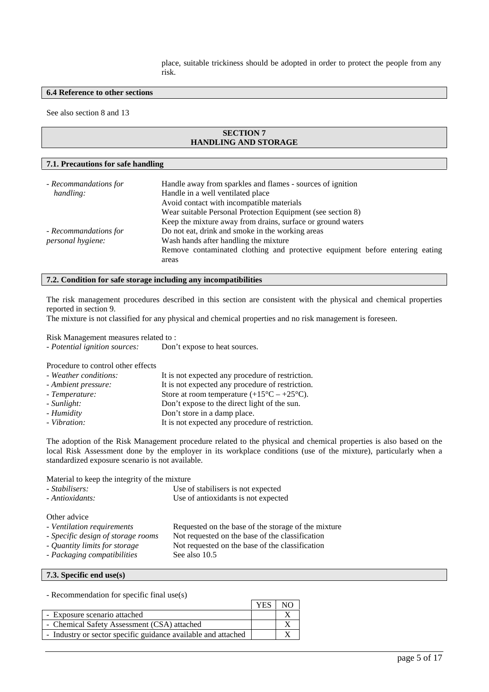place, suitable trickiness should be adopted in order to protect the people from any risk.

# **6.4 Reference to other sections**

See also section 8 and 13

# **SECTION 7 HANDLING AND STORAGE**

#### **7.1. Precautions for safe handling**

| Handle away from sparkles and flames - sources of ignition                   |
|------------------------------------------------------------------------------|
| Handle in a well ventilated place                                            |
| Avoid contact with incompatible materials                                    |
| Wear suitable Personal Protection Equipment (see section 8)                  |
| Keep the mixture away from drains, surface or ground waters                  |
| Do not eat, drink and smoke in the working areas                             |
| Wash hands after handling the mixture                                        |
| Remove contaminated clothing and protective equipment before entering eating |
| areas                                                                        |
|                                                                              |

# **7.2. Condition for safe storage including any incompatibilities**

The risk management procedures described in this section are consistent with the physical and chemical properties reported in section 9.

The mixture is not classified for any physical and chemical properties and no risk management is foreseen.

Risk Management measures related to :

| - Potential ignition sources: | Don't expose to heat sources. |
|-------------------------------|-------------------------------|
|-------------------------------|-------------------------------|

Procedure to control other effects

| - Weather conditions: | It is not expected any procedure of restriction.            |
|-----------------------|-------------------------------------------------------------|
| - Ambient pressure:   | It is not expected any procedure of restriction.            |
| - Temperature:        | Store at room temperature $(+15^{\circ}C - +25^{\circ}C)$ . |
| - Sunlight:           | Don't expose to the direct light of the sun.                |
| - Humidity            | Don't store in a damp place.                                |
| - Vibration:          | It is not expected any procedure of restriction.            |

The adoption of the Risk Management procedure related to the physical and chemical properties is also based on the local Risk Assessment done by the employer in its workplace conditions (use of the mixture), particularly when a standardized exposure scenario is not available.

Material to keep the integrity of the mixture

| - Stabilisers:                                                                                                                                   | Use of stabilisers is not expected                                                                                                                                         |
|--------------------------------------------------------------------------------------------------------------------------------------------------|----------------------------------------------------------------------------------------------------------------------------------------------------------------------------|
| - Antioxidants:                                                                                                                                  | Use of antioxidants is not expected                                                                                                                                        |
| Other advice<br>- Ventilation requirements<br>- Specific design of storage rooms<br>- Quantity limits for storage<br>- Packaging compatibilities | Requested on the base of the storage of the mixture<br>Not requested on the base of the classification<br>Not requested on the base of the classification<br>See also 10.5 |

# **7.3. Specific end use(s)**

- Recommendation for specific final use(s)

| - Exposure scenario attached                                  |  |  |
|---------------------------------------------------------------|--|--|
| - Chemical Safety Assessment (CSA) attached                   |  |  |
| - Industry or sector specific guidance available and attached |  |  |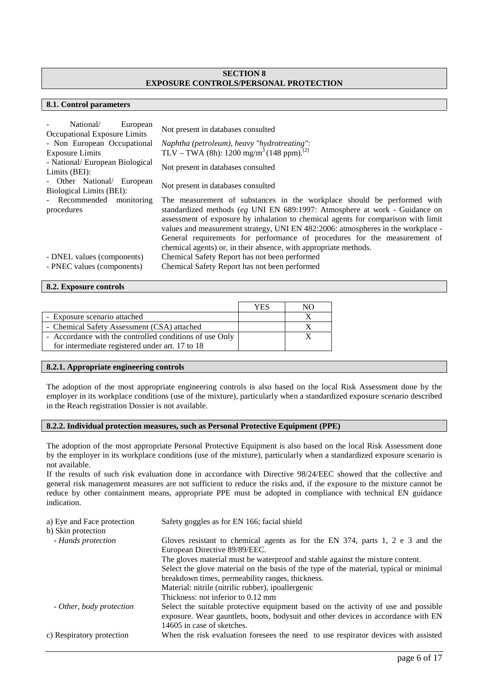# **SECTION 8 EXPOSURE CONTROLS/PERSONAL PROTECTION**

# **8.1. Control parameters**

| National/<br>European                            | Not present in databases consulted                                                                                                                                                                                                                                                                                                                                                                                                                                              |
|--------------------------------------------------|---------------------------------------------------------------------------------------------------------------------------------------------------------------------------------------------------------------------------------------------------------------------------------------------------------------------------------------------------------------------------------------------------------------------------------------------------------------------------------|
| Occupational Exposure Limits                     |                                                                                                                                                                                                                                                                                                                                                                                                                                                                                 |
| - Non European Occupational                      | Naphtha (petroleum), heavy "hydrotreating":                                                                                                                                                                                                                                                                                                                                                                                                                                     |
| <b>Exposure Limits</b>                           | TLV – TWA (8h): 1200 mg/m <sup>3</sup> (148 ppm). <sup>[2]</sup>                                                                                                                                                                                                                                                                                                                                                                                                                |
| - National/ European Biological<br>Limits (BEI): | Not present in databases consulted                                                                                                                                                                                                                                                                                                                                                                                                                                              |
| - Other National<br>European                     | Not present in databases consulted                                                                                                                                                                                                                                                                                                                                                                                                                                              |
| Biological Limits (BEI):                         |                                                                                                                                                                                                                                                                                                                                                                                                                                                                                 |
| - Recommended<br>monitoring<br>procedures        | The measurement of substances in the workplace should be performed with<br>standardized methods (eg UNI EN 689:1997: Atmosphere at work - Guidance on<br>assessment of exposure by inhalation to chemical agents for comparison with limit<br>values and measurement strategy, UNI EN 482:2006: atmospheres in the workplace -<br>General requirements for performance of procedures for the measurement of<br>chemical agents) or, in their absence, with appropriate methods. |
|                                                  |                                                                                                                                                                                                                                                                                                                                                                                                                                                                                 |
| - DNEL values (components)                       | Chemical Safety Report has not been performed                                                                                                                                                                                                                                                                                                                                                                                                                                   |
| - PNEC values (components)                       | Chemical Safety Report has not been performed                                                                                                                                                                                                                                                                                                                                                                                                                                   |

# **8.2. Exposure controls**

|                                                         | YES | NO. |
|---------------------------------------------------------|-----|-----|
| - Exposure scenario attached                            |     |     |
| - Chemical Safety Assessment (CSA) attached             |     |     |
| - Accordance with the controlled conditions of use Only |     |     |
| for intermediate registered under art. 17 to 18         |     |     |

# **8.2.1. Appropriate engineering controls**

The adoption of the most appropriate engineering controls is also based on the local Risk Assessment done by the employer in its workplace conditions (use of the mixture), particularly when a standardized exposure scenario described in the Reach registration Dossier is not available.

# **8.2.2. Individual protection measures, such as Personal Protective Equipment (PPE)**

The adoption of the most appropriate Personal Protective Equipment is also based on the local Risk Assessment done by the employer in its workplace conditions (use of the mixture), particularly when a standardized exposure scenario is not available.

If the results of such risk evaluation done in accordance with Directive 98/24/EEC showed that the collective and general risk management measures are not sufficient to reduce the risks and, if the exposure to the mixture cannot be reduce by other containment means, appropriate PPE must be adopted in compliance with technical EN guidance indication.

| a) Eye and Face protection | Safety goggles as for EN 166; facial shield                                            |
|----------------------------|----------------------------------------------------------------------------------------|
| b) Skin protection         |                                                                                        |
| - Hands protection         | Gloves resistant to chemical agents as for the EN 374, parts 1, 2 e 3 and the          |
|                            | European Directive 89/89/EEC.                                                          |
|                            | The gloves material must be waterproof and stable against the mixture content.         |
|                            | Select the glove material on the basis of the type of the material, typical or minimal |
|                            | breakdown times, permeability ranges, thickness.                                       |
|                            | Material: nitrile (nitrilic rubber), ipoallergenic                                     |
|                            | Thickness: not inferior to 0.12 mm                                                     |
| - Other, body protection   | Select the suitable protective equipment based on the activity of use and possible     |
|                            | exposure. Wear gauntlets, boots, bodysuit and other devices in accordance with EN      |
|                            | 14605 in case of sketches.                                                             |
| c) Respiratory protection  | When the risk evaluation foresees the need to use respirator devices with assisted     |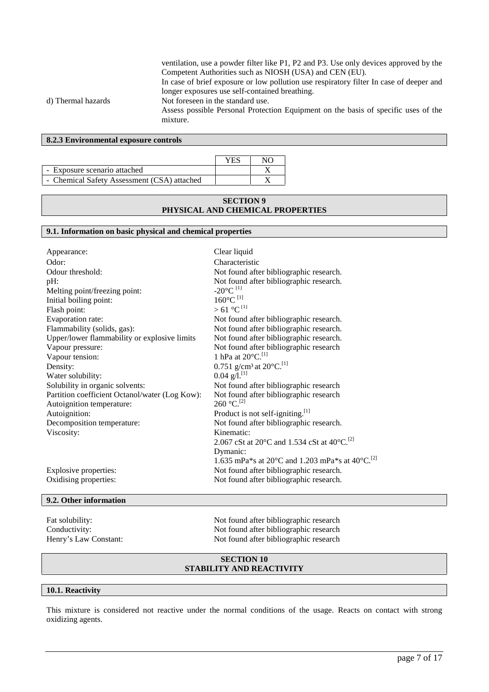ventilation, use a powder filter like P1, P2 and P3. Use only devices approved by the Competent Authorities such as NIOSH (USA) and CEN (EU).

In case of brief exposure or low pollution use respiratory filter In case of deeper and longer exposures use self-contained breathing.

# d) Thermal hazards Not foreseen in the standard use.

Assess possible Personal Protection Equipment on the basis of specific uses of the mixture.

# **8.2.3 Environmental exposure controls**

|                                             | YES | NΩ |  |
|---------------------------------------------|-----|----|--|
| - Exposure scenario attached                |     |    |  |
| - Chemical Safety Assessment (CSA) attached |     |    |  |

# **SECTION 9 PHYSICAL AND CHEMICAL PROPERTIES**

# **9.1. Information on basic physical and chemical properties**

| Appearance:                                    | Clear liquid                                                                      |
|------------------------------------------------|-----------------------------------------------------------------------------------|
| Odor:                                          | Characteristic                                                                    |
| Odour threshold:                               | Not found after bibliographic research.                                           |
| pH:                                            | Not found after bibliographic research.                                           |
| Melting point/freezing point:                  | $-20^{\circ}$ C <sup>[1]</sup>                                                    |
| Initial boiling point:                         | $160^{\circ}$ C $^{[1]}$                                                          |
| Flash point:                                   | $> 61^{\circ}C^{[1]}$                                                             |
| Evaporation rate:                              | Not found after bibliographic research.                                           |
| Flammability (solids, gas):                    | Not found after bibliographic research.                                           |
| Upper/lower flammability or explosive limits   | Not found after bibliographic research.                                           |
| Vapour pressure:                               | Not found after bibliographic research                                            |
| Vapour tension:                                | 1 hPa at 20°C. <sup>[1]</sup>                                                     |
| Density:                                       | 0.751 g/cm <sup>3</sup> at 20 $^{\circ}$ C. <sup>[1]</sup>                        |
| Water solubility:                              | $0.04$ g/l. <sup>[1]</sup>                                                        |
| Solubility in organic solvents:                | Not found after bibliographic research                                            |
| Partition coefficient Octanol/water (Log Kow): | Not found after bibliographic research                                            |
| Autoignition temperature:                      | $260 °C$ <sup>[2]</sup>                                                           |
| Autoignition:                                  | Product is not self-igniting. <sup>[1]</sup>                                      |
| Decomposition temperature:                     | Not found after bibliographic research.                                           |
| Viscosity:                                     | Kinematic:                                                                        |
|                                                | 2.067 cSt at 20 $^{\circ}$ C and 1.534 cSt at 40 $^{\circ}$ C. <sup>[2]</sup>     |
|                                                | Dymanic:                                                                          |
|                                                | 1.635 mPa*s at 20 $^{\circ}$ C and 1.203 mPa*s at 40 $^{\circ}$ C. <sup>[2]</sup> |
| Explosive properties:                          | Not found after bibliographic research.                                           |
| Oxidising properties:                          | Not found after bibliographic research.                                           |

# **9.2. Other information**

Fat solubility: Not found after bibliographic research Conductivity:<br>
Not found after bibliographic research<br>
Not found after bibliographic research<br>
Not found after bibliographic research Not found after bibliographic research

# **SECTION 10 STABILITY AND REACTIVITY**

# **10.1. Reactivity**

This mixture is considered not reactive under the normal conditions of the usage. Reacts on contact with strong oxidizing agents.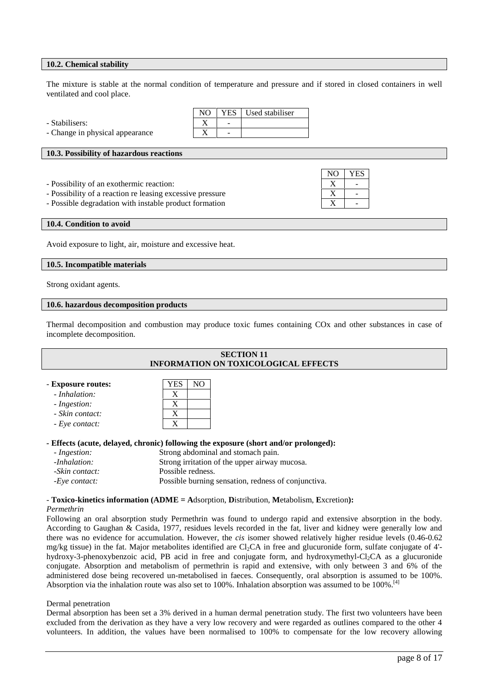# **10.2. Chemical stability**

The mixture is stable at the normal condition of temperature and pressure and if stored in closed containers in well ventilated and cool place.

NO YES

| - Stabilisers:<br>-<br>- |                                 | NO. | YES   Used stabiliser |
|--------------------------|---------------------------------|-----|-----------------------|
|                          |                                 |     |                       |
|                          | - Change in physical appearance |     |                       |

# **10.3. Possibility of hazardous reactions**

- Possibility of an exothermic reaction: X -

- Possibility of a reaction re leasing excessive pressure V

- Possible degradation with instable product formation X

#### **10.4. Condition to avoid**

Avoid exposure to light, air, moisture and excessive heat.

#### **10.5. Incompatible materials**

Strong oxidant agents.

# **10.6. hazardous decomposition products**

Thermal decomposition and combustion may produce toxic fumes containing COx and other substances in case of incomplete decomposition.

| <b>SECTION 11</b>                                                                    |                                             |                                    |  |
|--------------------------------------------------------------------------------------|---------------------------------------------|------------------------------------|--|
|                                                                                      | <b>INFORMATION ON TOXICOLOGICAL EFFECTS</b> |                                    |  |
|                                                                                      |                                             |                                    |  |
| - Exposure routes:                                                                   | NO<br><b>YES</b>                            |                                    |  |
| - Inhalation:                                                                        | X                                           |                                    |  |
| - Ingestion:                                                                         | X                                           |                                    |  |
| - Skin contact:                                                                      | X                                           |                                    |  |
| - Eye contact:                                                                       | X                                           |                                    |  |
|                                                                                      |                                             |                                    |  |
| - Effects (acute, delayed, chronic) following the exposure (short and/or prolonged): |                                             |                                    |  |
| - Ingestion:                                                                         |                                             | Strong abdominal and stomach pain. |  |

| -Inhalation:   | Strong irritation of the upper airway mucosa.       |
|----------------|-----------------------------------------------------|
| -Skin contact: | Possible redness.                                   |
| -Eve contact:  | Possible burning sensation, redness of conjunctiva. |

#### *-* **Toxico-kinetics information (ADME = A**dsorption, **D**istribution, **M**etabolism, **E**xcretion**):**

# *Permethrin*

Following an oral absorption study Permethrin was found to undergo rapid and extensive absorption in the body. According to Gaughan & Casida, 1977, residues levels recorded in the fat, liver and kidney were generally low and there was no evidence for accumulation. However, the *cis* isomer showed relatively higher residue levels (0.46-0.62 mg/kg tissue) in the fat. Major metabolites identified are Cl<sub>2</sub>CA in free and glucuronide form, sulfate conjugate of 4'hydroxy-3-phenoxybenzoic acid, PB acid in free and conjugate form, and hydroxymethyl-Cl<sub>2</sub>CA as a glucuronide conjugate. Absorption and metabolism of permethrin is rapid and extensive, with only between 3 and 6% of the administered dose being recovered un-metabolised in faeces. Consequently, oral absorption is assumed to be 100%. Absorption via the inhalation route was also set to 100%. Inhalation absorption was assumed to be 100%.<sup>[4]</sup>

#### Dermal penetration

Dermal absorption has been set a 3% derived in a human dermal penetration study. The first two volunteers have been excluded from the derivation as they have a very low recovery and were regarded as outlines compared to the other 4 volunteers. In addition, the values have been normalised to 100% to compensate for the low recovery allowing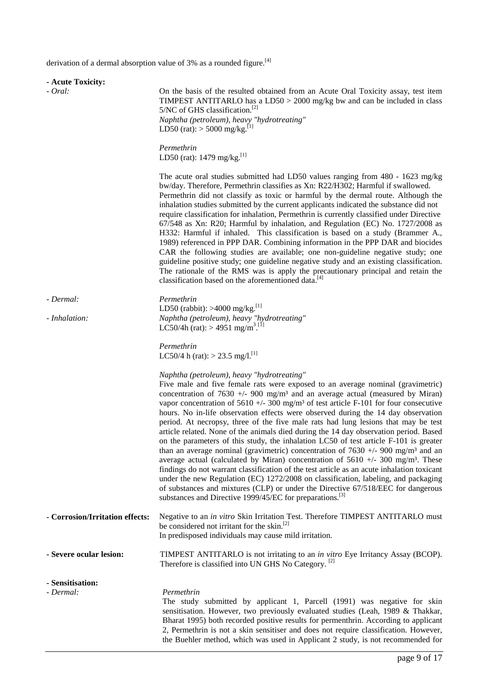derivation of a dermal absorption value of 3% as a rounded figure.<sup>[4]</sup>

| - Acute Toxicity:               |                                                                                                                                                                                                                                                                                                                                                                                                                                                                                                                                                                                                                                                                                                                                                                                                                                                                                                                                                                                                                                                                                                                                                                                                                                                 |  |
|---------------------------------|-------------------------------------------------------------------------------------------------------------------------------------------------------------------------------------------------------------------------------------------------------------------------------------------------------------------------------------------------------------------------------------------------------------------------------------------------------------------------------------------------------------------------------------------------------------------------------------------------------------------------------------------------------------------------------------------------------------------------------------------------------------------------------------------------------------------------------------------------------------------------------------------------------------------------------------------------------------------------------------------------------------------------------------------------------------------------------------------------------------------------------------------------------------------------------------------------------------------------------------------------|--|
| - Oral:                         | On the basis of the resulted obtained from an Acute Oral Toxicity assay, test item<br>TIMPEST ANTITARLO has a $LD50 > 2000$ mg/kg bw and can be included in class<br>5/NC of GHS classification. <sup>[2]</sup><br>Naphtha (petroleum), heavy "hydrotreating"<br>LD50 (rat): $>$ 5000 mg/kg. <sup>[1]</sup>                                                                                                                                                                                                                                                                                                                                                                                                                                                                                                                                                                                                                                                                                                                                                                                                                                                                                                                                     |  |
|                                 | Permethrin<br>LD50 (rat): $1479$ mg/kg. <sup>[1]</sup>                                                                                                                                                                                                                                                                                                                                                                                                                                                                                                                                                                                                                                                                                                                                                                                                                                                                                                                                                                                                                                                                                                                                                                                          |  |
|                                 | The acute oral studies submitted had LD50 values ranging from $480 - 1623$ mg/kg<br>bw/day. Therefore, Permethrin classifies as Xn: R22/H302; Harmful if swallowed.<br>Permethrin did not classify as toxic or harmful by the dermal route. Although the<br>inhalation studies submitted by the current applicants indicated the substance did not<br>require classification for inhalation, Permethrin is currently classified under Directive<br>67/548 as Xn: R20; Harmful by inhalation, and Regulation (EC) No. 1727/2008 as<br>H332: Harmful if inhaled. This classification is based on a study (Brammer A.,<br>1989) referenced in PPP DAR. Combining information in the PPP DAR and biocides<br>CAR the following studies are available; one non-guideline negative study; one<br>guideline positive study; one guideline negative study and an existing classification.<br>The rationale of the RMS was is apply the precautionary principal and retain the<br>classification based on the aforementioned data. <sup>[4]</sup>                                                                                                                                                                                                        |  |
| - Dermal:                       | Permethrin                                                                                                                                                                                                                                                                                                                                                                                                                                                                                                                                                                                                                                                                                                                                                                                                                                                                                                                                                                                                                                                                                                                                                                                                                                      |  |
| - Inhalation:                   | LD50 (rabbit): >4000 mg/kg. <sup>[1]</sup><br>Naphtha (petroleum), heavy "hydrotreating"<br>LC50/4h (rat): > 4951 mg/m <sup>3</sup> . <sup>[1]</sup>                                                                                                                                                                                                                                                                                                                                                                                                                                                                                                                                                                                                                                                                                                                                                                                                                                                                                                                                                                                                                                                                                            |  |
|                                 | Permethrin<br>LC50/4 h (rat): > 23.5 mg/l. <sup>[1]</sup>                                                                                                                                                                                                                                                                                                                                                                                                                                                                                                                                                                                                                                                                                                                                                                                                                                                                                                                                                                                                                                                                                                                                                                                       |  |
|                                 | Naphtha (petroleum), heavy "hydrotreating"<br>Five male and five female rats were exposed to an average nominal (gravimetric)<br>concentration of 7630 +/- 900 mg/m <sup>3</sup> and an average actual (measured by Miran)<br>vapor concentration of 5610 +/- 300 mg/m <sup>3</sup> of test article F-101 for four consecutive<br>hours. No in-life observation effects were observed during the 14 day observation<br>period. At necropsy, three of the five male rats had lung lesions that may be test<br>article related. None of the animals died during the 14 day observation period. Based<br>on the parameters of this study, the inhalation LC50 of test article F-101 is greater<br>than an average nominal (gravimetric) concentration of $7630 +/- 900$ mg/m <sup>3</sup> and an<br>average actual (calculated by Miran) concentration of $5610 +/- 300$ mg/m <sup>3</sup> . These<br>findings do not warrant classification of the test article as an acute inhalation toxicant<br>under the new Regulation (EC) 1272/2008 on classification, labeling, and packaging<br>of substances and mixtures (CLP) or under the Directive 67/518/EEC for dangerous<br>substances and Directive 1999/45/EC for preparations. <sup>[3]</sup> |  |
| - Corrosion/Irritation effects: | Negative to an in vitro Skin Irritation Test. Therefore TIMPEST ANTITARLO must<br>be considered not irritant for the skin. <sup>[2]</sup><br>In predisposed individuals may cause mild irritation.                                                                                                                                                                                                                                                                                                                                                                                                                                                                                                                                                                                                                                                                                                                                                                                                                                                                                                                                                                                                                                              |  |
| - Severe ocular lesion:         | TIMPEST ANTITARLO is not irritating to an in vitro Eye Irritancy Assay (BCOP).<br>Therefore is classified into UN GHS No Category. <sup>[2]</sup>                                                                                                                                                                                                                                                                                                                                                                                                                                                                                                                                                                                                                                                                                                                                                                                                                                                                                                                                                                                                                                                                                               |  |
| - Sensitisation:<br>- Dermal:   | Permethrin<br>The study submitted by applicant 1, Parcell (1991) was negative for skin<br>sensitisation. However, two previously evaluated studies (Leah, 1989 & Thakkar,<br>Bharat 1995) both recorded positive results for permenthrin. According to applicant<br>2, Permethrin is not a skin sensitiser and does not require classification. However,<br>the Buehler method, which was used in Applicant 2 study, is not recommended for                                                                                                                                                                                                                                                                                                                                                                                                                                                                                                                                                                                                                                                                                                                                                                                                     |  |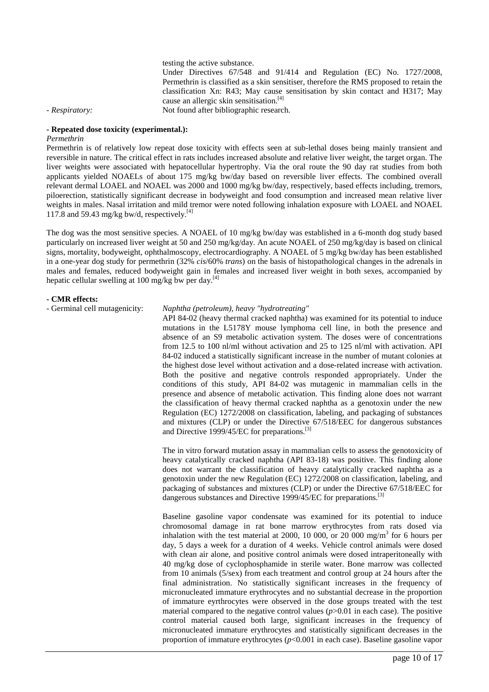testing the active substance.

Under Directives 67/548 and 91/414 and Regulation (EC) No. 1727/2008, Permethrin is classified as a skin sensitiser, therefore the RMS proposed to retain the classification Xn: R43; May cause sensitisation by skin contact and H317; May cause an allergic skin sensitisation.<sup>[4]</sup>

*- Respiratory:* Not found after bibliographic research.

#### **- Repeated dose toxicity (experimental.):**

# *Permethrin*

Permethrin is of relatively low repeat dose toxicity with effects seen at sub-lethal doses being mainly transient and reversible in nature. The critical effect in rats includes increased absolute and relative liver weight, the target organ. The liver weights were associated with hepatocellular hypertrophy. Via the oral route the 90 day rat studies from both applicants yielded NOAELs of about 175 mg/kg bw/day based on reversible liver effects. The combined overall relevant dermal LOAEL and NOAEL was 2000 and 1000 mg/kg bw/day, respectively, based effects including, tremors, piloerection, statistically significant decrease in bodyweight and food consumption and increased mean relative liver weights in males. Nasal irritation and mild tremor were noted following inhalation exposure with LOAEL and NOAEL 117.8 and 59.43 mg/kg bw/d, respectively.<sup>[4]</sup>

The dog was the most sensitive species. A NOAEL of 10 mg/kg bw/day was established in a 6-month dog study based particularly on increased liver weight at 50 and 250 mg/kg/day. An acute NOAEL of 250 mg/kg/day is based on clinical signs, mortality, bodyweight, ophthalmoscopy, electrocardiography. A NOAEL of 5 mg/kg bw/day has been established in a one-year dog study for permethrin (32% *cis*/60% *trans*) on the basis of histopathological changes in the adrenals in males and females, reduced bodyweight gain in females and increased liver weight in both sexes, accompanied by hepatic cellular swelling at 100 mg/kg bw per day.<sup>[4]</sup>

#### **- CMR effects:**

#### - Germinal cell mutagenicity: *Naphtha (petroleum), heavy "hydrotreating"*

API 84-02 (heavy thermal cracked naphtha) was examined for its potential to induce mutations in the L5178Y mouse lymphoma cell line, in both the presence and absence of an S9 metabolic activation system. The doses were of concentrations from 12.5 to 100 nl/ml without activation and 25 to 125 nl/ml with activation. API 84-02 induced a statistically significant increase in the number of mutant colonies at the highest dose level without activation and a dose-related increase with activation. Both the positive and negative controls responded appropriately. Under the conditions of this study, API 84-02 was mutagenic in mammalian cells in the presence and absence of metabolic activation. This finding alone does not warrant the classification of heavy thermal cracked naphtha as a genotoxin under the new Regulation (EC) 1272/2008 on classification, labeling, and packaging of substances and mixtures (CLP) or under the Directive 67/518/EEC for dangerous substances and Directive 1999/45/EC for preparations.<sup>[3]</sup>

The in vitro forward mutation assay in mammalian cells to assess the genotoxicity of heavy catalytically cracked naphtha (API 83-18) was positive. This finding alone does not warrant the classification of heavy catalytically cracked naphtha as a genotoxin under the new Regulation (EC) 1272/2008 on classification, labeling, and packaging of substances and mixtures (CLP) or under the Directive 67/518/EEC for dangerous substances and Directive 1999/45/EC for preparations. [3]

Baseline gasoline vapor condensate was examined for its potential to induce chromosomal damage in rat bone marrow erythrocytes from rats dosed via inhalation with the test material at 2000, 10 000, or 20 000 mg/m<sup>3</sup> for 6 hours per day, 5 days a week for a duration of 4 weeks. Vehicle control animals were dosed with clean air alone, and positive control animals were dosed intraperitoneally with 40 mg/kg dose of cyclophosphamide in sterile water. Bone marrow was collected from 10 animals (5/sex) from each treatment and control group at 24 hours after the final administration. No statistically significant increases in the frequency of micronucleated immature erythrocytes and no substantial decrease in the proportion of immature eyrthrocytes were observed in the dose groups treated with the test material compared to the negative control values  $(p>0.01$  in each case). The positive control material caused both large, significant increases in the frequency of micronucleated immature erythrocytes and statistically significant decreases in the proportion of immature erythrocytes (*p*<0.001 in each case). Baseline gasoline vapor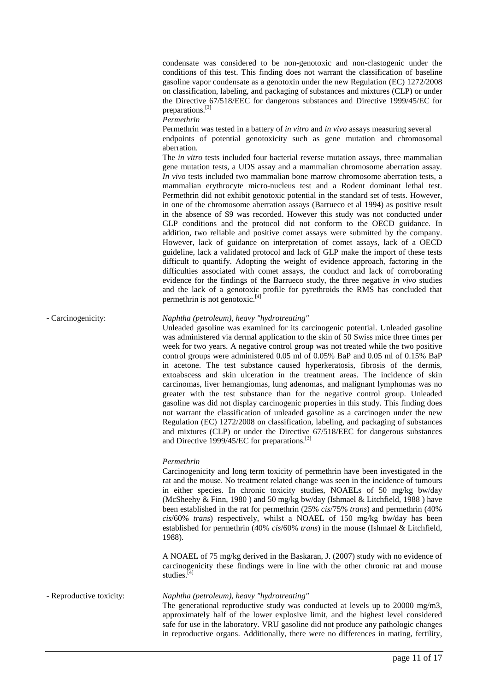condensate was considered to be non-genotoxic and non-clastogenic under the conditions of this test. This finding does not warrant the classification of baseline gasoline vapor condensate as a genotoxin under the new Regulation (EC) 1272/2008 on classification, labeling, and packaging of substances and mixtures (CLP) or under the Directive 67/518/EEC for dangerous substances and Directive 1999/45/EC for preparations.<sup>[3]</sup>

*Permethrin*

Permethrin was tested in a battery of *in vitro* and *in vivo* assays measuring several

endpoints of potential genotoxicity such as gene mutation and chromosomal aberration.

The *in vitro* tests included four bacterial reverse mutation assays, three mammalian gene mutation tests, a UDS assay and a mammalian chromosome aberration assay. *In vivo* tests included two mammalian bone marrow chromosome aberration tests, a mammalian erythrocyte micro-nucleus test and a Rodent dominant lethal test. Permethrin did not exhibit genotoxic potential in the standard set of tests. However, in one of the chromosome aberration assays (Barrueco et al 1994) as positive result in the absence of S9 was recorded. However this study was not conducted under GLP conditions and the protocol did not conform to the OECD guidance. In addition, two reliable and positive comet assays were submitted by the company. However, lack of guidance on interpretation of comet assays, lack of a OECD guideline, lack a validated protocol and lack of GLP make the import of these tests difficult to quantify. Adopting the weight of evidence approach, factoring in the difficulties associated with comet assays, the conduct and lack of corroborating evidence for the findings of the Barrueco study, the three negative *in vivo* studies and the lack of a genotoxic profile for pyrethroids the RMS has concluded that permethrin is not genotoxic.<sup>[4]</sup>

# - Carcinogenicity: *Naphtha (petroleum), heavy "hydrotreating"*

Unleaded gasoline was examined for its carcinogenic potential. Unleaded gasoline was administered via dermal application to the skin of 50 Swiss mice three times per week for two years. A negative control group was not treated while the two positive control groups were administered 0.05 ml of 0.05% BaP and 0.05 ml of 0.15% BaP in acetone. The test substance caused hyperkeratosis, fibrosis of the dermis, extoabscess and skin ulceration in the treatment areas. The incidence of skin carcinomas, liver hemangiomas, lung adenomas, and malignant lymphomas was no greater with the test substance than for the negative control group. Unleaded gasoline was did not display carcinogenic properties in this study. This finding does not warrant the classification of unleaded gasoline as a carcinogen under the new Regulation (EC) 1272/2008 on classification, labeling, and packaging of substances and mixtures (CLP) or under the Directive 67/518/EEC for dangerous substances and Directive 1999/45/EC for preparations.<sup>[3]</sup>

# *Permethrin*

Carcinogenicity and long term toxicity of permethrin have been investigated in the rat and the mouse. No treatment related change was seen in the incidence of tumours in either species. In chronic toxicity studies, NOAELs of 50 mg/kg bw/day (McSheehy & Finn, 1980 ) and 50 mg/kg bw/day (Ishmael & Litchfield, 1988 ) have been established in the rat for permethrin (25% *cis*/75% *trans*) and permethrin (40% *cis*/60% *trans*) respectively, whilst a NOAEL of 150 mg/kg bw/day has been established for permethrin (40% *cis*/60% *trans*) in the mouse (Ishmael & Litchfield, 1988).

A NOAEL of 75 mg/kg derived in the Baskaran, J. (2007) study with no evidence of carcinogenicity these findings were in line with the other chronic rat and mouse studies.<sup>[4]</sup>

- Reproductive toxicity: *Naphtha (petroleum), heavy "hydrotreating"*

The generational reproductive study was conducted at levels up to 20000 mg/m3, approximately half of the lower explosive limit, and the highest level considered safe for use in the laboratory. VRU gasoline did not produce any pathologic changes in reproductive organs. Additionally, there were no differences in mating, fertility,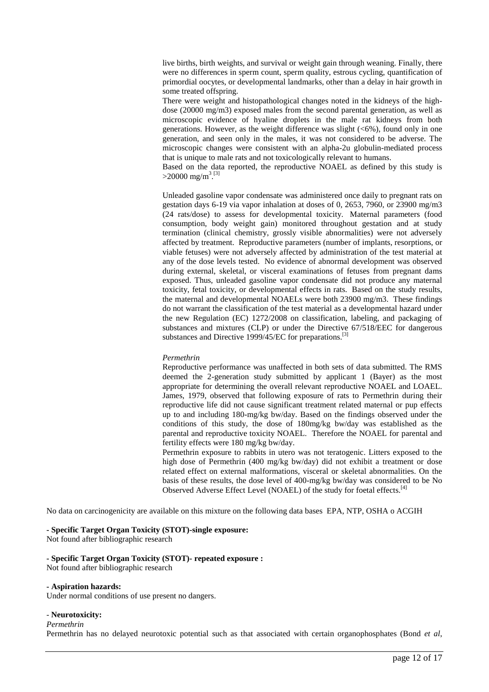live births, birth weights, and survival or weight gain through weaning. Finally, there were no differences in sperm count, sperm quality, estrous cycling, quantification of primordial oocytes, or developmental landmarks, other than a delay in hair growth in some treated offspring.

There were weight and histopathological changes noted in the kidneys of the high dose (20000 mg/m3) exposed males from the second parental generation, as well as microscopic evidence of hyaline droplets in the male rat kidneys from both generations. However, as the weight difference was slight  $(<6\%)$ , found only in one generation, and seen only in the males, it was not considered to be adverse. The microscopic changes were consistent with an alpha-2u globulin-mediated process that is unique to male rats and not toxicologically relevant to humans.

Based on the data reported, the reproductive NOAEL as defined by this study is  $>$ 20000 mg/m<sup>3 [3]</sup>

Unleaded gasoline vapor condensate was administered once daily to pregnant rats on gestation days 6-19 via vapor inhalation at doses of 0, 2653, 7960, or 23900 mg/m3 (24 rats/dose) to assess for developmental toxicity. Maternal parameters (food consumption, body weight gain) monitored throughout gestation and at study termination (clinical chemistry, grossly visible abnormalities) were not adversely affected by treatment. Reproductive parameters (number of implants, resorptions, or viable fetuses) were not adversely affected by administration of the test material at any of the dose levels tested. No evidence of abnormal development was observed during external, skeletal, or visceral examinations of fetuses from pregnant dams exposed. Thus, unleaded gasoline vapor condensate did not produce any maternal toxicity, fetal toxicity, or developmental effects in rats. Based on the study results, the maternal and developmental NOAELs were both 23900 mg/m3. These findings do not warrant the classification of the test material as a developmental hazard under the new Regulation (EC) 1272/2008 on classification, labeling, and packaging of substances and mixtures (CLP) or under the Directive 67/518/EEC for dangerous substances and Directive 1999/45/EC for preparations.<sup>[3]</sup>

# *Permethrin*

Reproductive performance was unaffected in both sets of data submitted. The RMS deemed the 2-generation study submitted by applicant 1 (Bayer) as the most appropriate for determining the overall relevant reproductive NOAEL and LOAEL. James, 1979, observed that following exposure of rats to Permethrin during their reproductive life did not cause significant treatment related maternal or pup effects up to and including 180-mg/kg bw/day. Based on the findings observed under the conditions of this study, the dose of 180mg/kg bw/day was established as the parental and reproductive toxicity NOAEL. Therefore the NOAEL for parental and fertility effects were 180 mg/kg bw/day.

Permethrin exposure to rabbits in utero was not teratogenic. Litters exposed to the high dose of Permethrin (400 mg/kg bw/day) did not exhibit a treatment or dose related effect on external malformations, visceral or skeletal abnormalities. On the basis of these results, the dose level of 400-mg/kg bw/day was considered to be No Observed Adverse Effect Level (NOAEL) of the study for foetal effects.[4]

No data on carcinogenicity are available on this mixture on the following data bases EPA, NTP, OSHA o ACGIH

**- Specific Target Organ Toxicity (STOT)-single exposure:**

Not found after bibliographic research

# **- Specific Target Organ Toxicity (STOT)- repeated exposure :**

Not found after bibliographic research

#### **- Aspiration hazards:**

Under normal conditions of use present no dangers.

#### - **Neurotoxicity:**

*Permethrin*

Permethrin has no delayed neurotoxic potential such as that associated with certain organophosphates (Bond *et al*,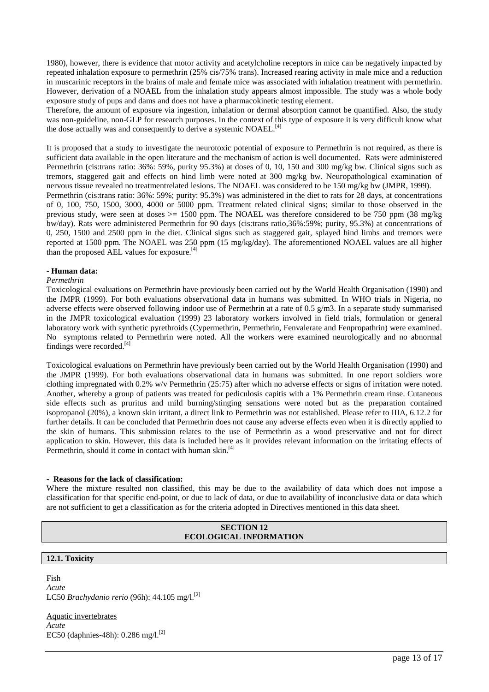1980), however, there is evidence that motor activity and acetylcholine receptors in mice can be negatively impacted by repeated inhalation exposure to permethrin (25% cis/75% trans). Increased rearing activity in male mice and a reduction in muscarinic receptors in the brains of male and female mice was associated with inhalation treatment with permethrin. However, derivation of a NOAEL from the inhalation study appears almost impossible. The study was a whole body exposure study of pups and dams and does not have a pharmacokinetic testing element.

Therefore, the amount of exposure via ingestion, inhalation or dermal absorption cannot be quantified. Also, the study was non-guideline, non-GLP for research purposes. In the context of this type of exposure it is very difficult know what the dose actually was and consequently to derive a systemic NOAEL.<sup>[4]</sup>

It is proposed that a study to investigate the neurotoxic potential of exposure to Permethrin is not required, as there is sufficient data available in the open literature and the mechanism of action is well documented. Rats were administered Permethrin (cis:trans ratio: 36%: 59%, purity 95.3%) at doses of 0, 10, 150 and 300 mg/kg bw. Clinical signs such as tremors, staggered gait and effects on hind limb were noted at 300 mg/kg bw. Neuropathological examination of nervous tissue revealed no treatmentrelated lesions. The NOAEL was considered to be 150 mg/kg bw (JMPR, 1999). Permethrin (cis:trans ratio: 36%: 59%; purity: 95.3%) was administered in the diet to rats for 28 days, at concentrations of 0, 100, 750, 1500, 3000, 4000 or 5000 ppm. Treatment related clinical signs; similar to those observed in the previous study, were seen at doses  $>= 1500$  ppm. The NOAEL was therefore considered to be 750 ppm (38 mg/kg) bw/day). Rats were administered Permethrin for 90 days (cis:trans ratio,36%:59%; purity, 95.3%) at concentrations of 0, 250, 1500 and 2500 ppm in the diet. Clinical signs such as staggered gait, splayed hind limbs and tremors were reported at 1500 ppm. The NOAEL was 250 ppm (15 mg/kg/day). The aforementioned NOAEL values are all higher than the proposed AEL values for exposure.<sup>[4]</sup>

# - **Human data:**

## *Permethrin*

Toxicological evaluations on Permethrin have previously been carried out by the World Health Organisation (1990) and the JMPR (1999). For both evaluations observational data in humans was submitted. In WHO trials in Nigeria, no adverse effects were observed following indoor use of Permethrin at a rate of 0.5 g/m3. In a separate study summarised in the JMPR toxicological evaluation (1999) 23 laboratory workers involved in field trials, formulation or general laboratory work with synthetic pyrethroids (Cypermethrin, Permethrin, Fenvalerate and Fenpropathrin) were examined. No symptoms related to Permethrin were noted. All the workers were examined neurologically and no abnormal findings were recorded.<sup>[4]</sup>

Toxicological evaluations on Permethrin have previously been carried out by the World Health Organisation (1990) and the JMPR (1999). For both evaluations observational data in humans was submitted. In one report soldiers wore clothing impregnated with 0.2% w/v Permethrin (25:75) after which no adverse effects or signs of irritation were noted. Another, whereby a group of patients was treated for pediculosis capitis with a 1% Permethrin cream rinse. Cutaneous side effects such as pruritus and mild burning/stinging sensations were noted but as the preparation contained isopropanol (20%), a known skin irritant, a direct link to Permethrin was not established. Please refer to IIIA, 6.12.2 for further details. It can be concluded that Permethrin does not cause any adverse effects even when it is directly applied to the skin of humans. This submission relates to the use of Permethrin as a wood preservative and not for direct application to skin. However, this data is included here as it provides relevant information on the irritating effects of Permethrin, should it come in contact with human skin.<sup>[4]</sup>

#### **- Reasons for the lack of classification:**

Where the mixture resulted non classified, this may be due to the availability of data which does not impose a classification for that specific end-point, or due to lack of data, or due to availability of inconclusive data or data which are not sufficient to get a classification as for the criteria adopted in Directives mentioned in this data sheet.

# **SECTION 12 ECOLOGICAL INFORMATION**

# **12.1. Toxicity**

Fish *Acute* LC50 *Brachydanio rerio* (96h): 44.105 mg/l.[2]

Aquatic invertebrates *Acute* EC50 (daphnies-48h): 0.286 mg/l.<sup>[2]</sup>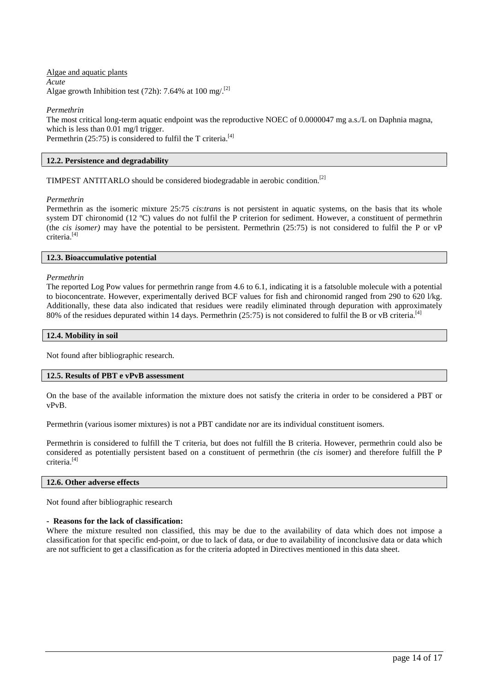Algae and aquatic plants *Acute* Algae growth Inhibition test (72h): 7.64% at 100 mg/ $^{[2]}$ 

*Permethrin*

The most critical long-term aquatic endpoint was the reproductive NOEC of 0.0000047 mg a.s./L on Daphnia magna, which is less than 0.01 mg/l trigger. Permethrin  $(25:75)$  is considered to fulfil the T criteria.<sup>[4]</sup>

# **12.2. Persistence and degradability**

TIMPEST ANTITARLO should be considered biodegradable in aerobic condition. [2]

*Permethrin*

Permethrin as the isomeric mixture 25:75 *cis*:*trans* is not persistent in aquatic systems, on the basis that its whole system DT chironomid (12 °C) values do not fulfil the P criterion for sediment. However, a constituent of permethrin (the *cis isomer)* may have the potential to be persistent. Permethrin (25:75) is not considered to fulfil the P or vP criteria.[4]

# **12.3. Bioaccumulative potential**

*Permethrin*

The reported Log Pow values for permethrin range from 4.6 to 6.1, indicating it is a fatsoluble molecule with a potential to bioconcentrate. However, experimentally derived BCF values for fish and chironomid ranged from 290 to 620 l/kg. Additionally, these data also indicated that residues were readily eliminated through depuration with approximately 80% of the residues depurated within 14 days. Permethrin (25:75) is not considered to fulfil the B or vB criteria.<sup>[4]</sup>

# **12.4. Mobility in soil**

Not found after bibliographic research.

#### **12.5. Results of PBT e vPvB assessment**

On the base of the available information the mixture does not satisfy the criteria in order to be considered a PBT or vPvB.

Permethrin (various isomer mixtures) is not a PBT candidate nor are its individual constituent isomers.

Permethrin is considered to fulfill the T criteria, but does not fulfill the B criteria. However, permethrin could also be considered as potentially persistent based on a constituent of permethrin (the *cis* isomer) and therefore fulfill the P criteria.[4]

# **12.6. Other adverse effects**

Not found after bibliographic research

# **- Reasons for the lack of classification:**

Where the mixture resulted non classified, this may be due to the availability of data which does not impose a classification for that specific end-point, or due to lack of data, or due to availability of inconclusive data or data which are not sufficient to get a classification as for the criteria adopted in Directives mentioned in this data sheet.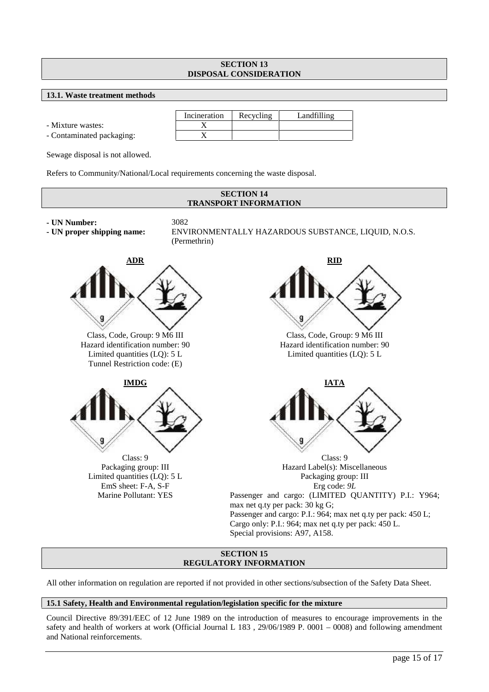# **SECTION 13 DISPOSAL CONSIDERATION**

# **13.1. Waste treatment methods**

- Mixture wastes: X

- Contaminated packaging: X

Incineration Recycling Landfilling

Sewage disposal is not allowed.

Refers to Community/National/Local requirements concerning the waste disposal.



# **SECTION 15 REGULATORY INFORMATION**

All other information on regulation are reported if not provided in other sections/subsection of the Safety Data Sheet.

# **15.1 Safety, Health and Environmental regulation/legislation specific for the mixture**

Council Directive 89/391/EEC of 12 June 1989 on the introduction of measures to encourage improvements in the safety and health of workers at work (Official Journal L 183 , 29/06/1989 P. 0001 – 0008) and following amendment and National reinforcements.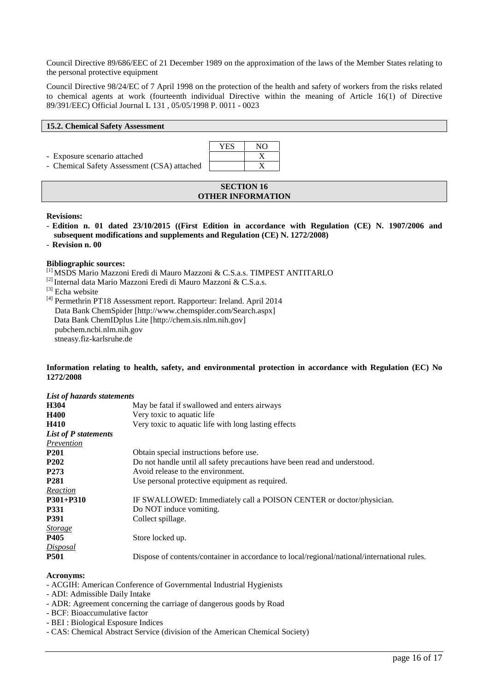Council Directive 89/686/EEC of 21 December 1989 on the approximation of the laws of the Member States relating to the personal protective equipment

Council Directive 98/24/EC of 7 April 1998 on the protection of the health and safety of workers from the risks related to chemical agents at work (fourteenth individual Directive within the meaning of Article 16(1) of Directive 89/391/EEC) Official Journal L 131 , 05/05/1998 P. 0011 - 0023

# **15.2. Chemical Safety Assessment**

- Exposure scenario attached X

- Chemical Safety Assessment (CSA) attached X



# **SECTION 16 OTHER INFORMATION**

# **Revisions:**

- **Edition n. 01 dated 23/10/2015 ((First Edition in accordance with Regulation (CE) N. 1907/2006 and subsequent modifications and supplements and Regulation (CE) N. 1272/2008)**
- **Revision n. 00**

# **Bibliographic sources:**

- [1] MSDS Mario Mazzoni Eredi di Mauro Mazzoni & C.S.a.s. TIMPEST ANTITARLO
- [2] Internal data Mario Mazzoni Eredi di Mauro Mazzoni & C.S.a.s.

 $[3]$  Echa website

[4] Permethrin PT18 Assessment report. Rapporteur: Ireland. April 2014 Data Bank ChemSpider [http://www.chemspider.com/Search.aspx] Data Bank ChemIDplus Lite [http://chem.sis.nlm.nih.gov] pubchem.ncbi.nlm.nih.gov stneasy.fiz-karlsruhe.de

# **Information relating to health, safety, and environmental protection in accordance with Regulation (EC) No 1272/2008**

| List of hazards statements |                                                                                             |  |  |  |
|----------------------------|---------------------------------------------------------------------------------------------|--|--|--|
| H304                       | May be fatal if swallowed and enters airways                                                |  |  |  |
| <b>H400</b>                | Very toxic to aquatic life                                                                  |  |  |  |
| H410                       | Very toxic to aquatic life with long lasting effects                                        |  |  |  |
| List of P statements       |                                                                                             |  |  |  |
| Prevention                 |                                                                                             |  |  |  |
| <b>P201</b>                | Obtain special instructions before use.                                                     |  |  |  |
| P <sub>202</sub>           | Do not handle until all safety precautions have been read and understood.                   |  |  |  |
| P <sub>273</sub>           | Avoid release to the environment.                                                           |  |  |  |
| <b>P281</b>                | Use personal protective equipment as required.                                              |  |  |  |
| Reaction                   |                                                                                             |  |  |  |
| P301+P310                  | IF SWALLOWED: Immediately call a POISON CENTER or doctor/physician.                         |  |  |  |
| <b>P331</b>                | Do NOT induce vomiting.                                                                     |  |  |  |
| <b>P391</b>                | Collect spillage.                                                                           |  |  |  |
| <b>Storage</b>             |                                                                                             |  |  |  |
| P405                       | Store locked up.                                                                            |  |  |  |
| <b>Disposal</b>            |                                                                                             |  |  |  |
| <b>P501</b>                | Dispose of contents/container in accordance to local/regional/national/international rules. |  |  |  |

# **Acronyms:**

- ACGIH: American Conference of Governmental Industrial Hygienists
- ADI: Admissible Daily Intake
- ADR: Agreement concerning the carriage of dangerous goods by Road
- BCF: Bioaccumulative factor
- BEI : Biological Esposure Indices
- CAS: Chemical Abstract Service (division of the American Chemical Society)